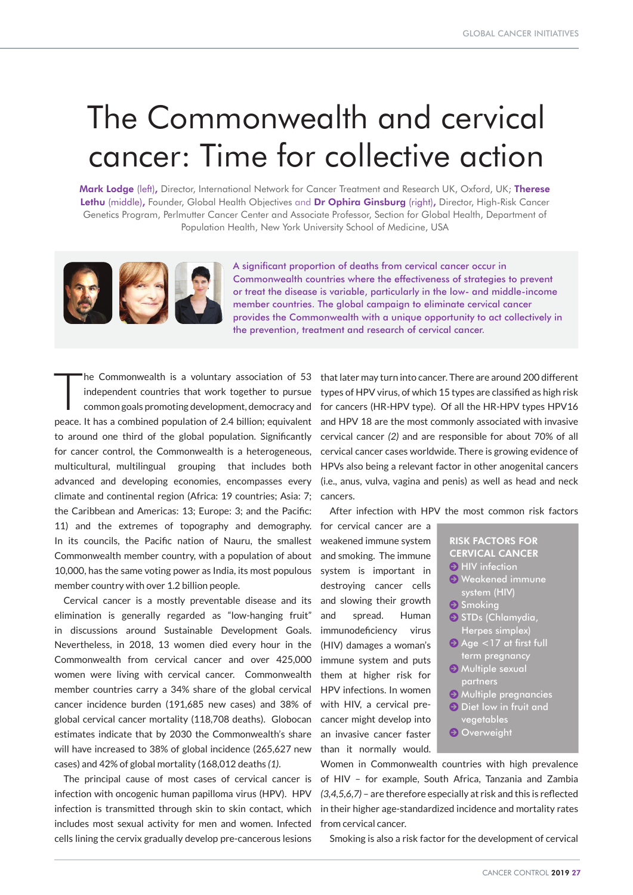# The Commonwealth and cervical cancer: Time for collective action

Mark Lodge (left), Director, International Network for Cancer Treatment and Research UK, Oxford, UK; Therese Lethu (middle), Founder, Global Health Objectives and Dr Ophira Ginsburg (right), Director, High-Risk Cancer Genetics Program, Perlmutter Cancer Center and Associate Professor, Section for Global Health, Department of Population Health, New York University School of Medicine, USA



A significant proportion of deaths from cervical cancer occur in Commonwealth countries where the effectiveness of strategies to prevent or treat the disease is variable, particularly in the low- and middle-income member countries. The global campaign to eliminate cervical cancer provides the Commonwealth with a unique opportunity to act collectively in the prevention, treatment and research of cervical cancer.

The Commonwealth is a voluntary association of 53 that later may turn into cancer. There are around 200 different independent countries that work together to pursue types of HPV virus, of which 15 types are classified as h independent countries that work together to pursue common goals promoting development, democracy and peace. It has a combined population of 2.4 billion; equivalent to around one third of the global population. Significantly for cancer control, the Commonwealth is a heterogeneous, multicultural, multilingual grouping that includes both advanced and developing economies, encompasses every climate and continental region (Africa: 19 countries; Asia: 7; the Caribbean and Americas: 13; Europe: 3; and the Pacific: 11) and the extremes of topography and demography. In its councils, the Pacific nation of Nauru, the smallest Commonwealth member country, with a population of about 10,000, has the same voting power as India, its most populous member country with over 1.2 billion people.

Cervical cancer is a mostly preventable disease and its elimination is generally regarded as "low-hanging fruit" in discussions around Sustainable Development Goals. Nevertheless, in 2018, 13 women died every hour in the Commonwealth from cervical cancer and over 425,000 women were living with cervical cancer. Commonwealth member countries carry a 34% share of the global cervical cancer incidence burden (191,685 new cases) and 38% of global cervical cancer mortality (118,708 deaths). Globocan estimates indicate that by 2030 the Commonwealth's share will have increased to 38% of global incidence (265,627 new cases) and 42% of global mortality (168,012 deaths *(1)*.

The principal cause of most cases of cervical cancer is infection with oncogenic human papilloma virus (HPV). HPV infection is transmitted through skin to skin contact, which includes most sexual activity for men and women. Infected cells lining the cervix gradually develop pre-cancerous lesions

types of HPV virus, of which 15 types are classified as high risk for cancers (HR-HPV type). Of all the HR-HPV types HPV16 and HPV 18 are the most commonly associated with invasive cervical cancer *(2)* and are responsible for about 70% of all cervical cancer cases worldwide. There is growing evidence of HPVs also being a relevant factor in other anogenital cancers (i.e., anus, vulva, vagina and penis) as well as head and neck cancers.

After infection with HPV the most common risk factors

for cervical cancer are a weakened immune system and smoking. The immune system is important in destroying cancer cells and slowing their growth and spread. Human immunodeficiency virus (HIV) damages a woman's immune system and puts them at higher risk for HPV infections. In women with HIV, a cervical precancer might develop into an invasive cancer faster than it normally would.

# RISK FACTORS FOR CERVICAL CANCER  $\Theta$  HIV infection  $\Theta$  Weakened immune system (HIV)  $\Theta$  Smoking  $\Theta$  STDs (Chlamydia, Herpes simplex)  $\Theta$  Age  $<$  17 at first full erm pregnanc<sub>)</sub>  $\Theta$  Multiple sexual partners  $\Theta$  Multiple pregnancies  $\Theta$  Diet low in fruit and vegetables Overweight

Women in Commonwealth countries with high prevalence of HIV – for example, South Africa, Tanzania and Zambia *(3,4,5,6,7)* – are therefore especially at risk and this is reflected in their higher age-standardized incidence and mortality rates from cervical cancer.

Smoking is also a risk factor for the development of cervical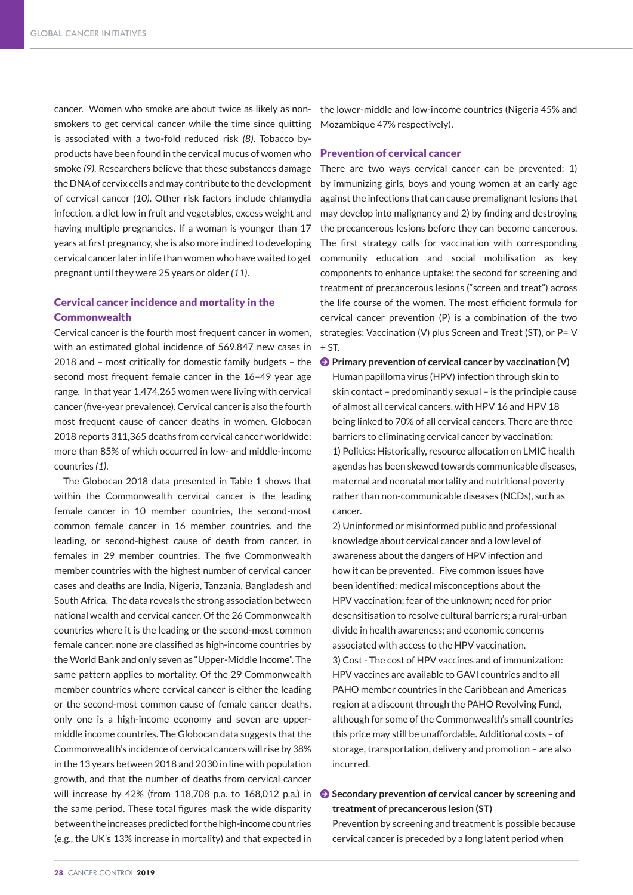cancer. Women who smoke are about twice as likely as nonsmokers to get cervical cancer while the time since quitting is associated with a two-fold reduced risk *(8)*. Tobacco byproducts have been found in the cervical mucus of women who smoke *(9)*. Researchers believe that these substances damage the DNA of cervix cells and may contribute to the development of cervical cancer *(10)*. Other risk factors include chlamydia infection, a diet low in fruit and vegetables, excess weight and having multiple pregnancies. If a woman is younger than 17 years at first pregnancy, she is also more inclined to developing cervical cancer later in life than women who have waited to get pregnant until they were 25 years or older *(11)*.

# Cervical cancer incidence and mortality in the **Commonwealth**

Cervical cancer is the fourth most frequent cancer in women, with an estimated global incidence of 569,847 new cases in 2018 and – most critically for domestic family budgets – the second most frequent female cancer in the 16–49 year age range. In that year 1,474,265 women were living with cervical cancer (five-year prevalence). Cervical cancer is also the fourth most frequent cause of cancer deaths in women. Globocan 2018 reports 311,365 deaths from cervical cancer worldwide; more than 85% of which occurred in low- and middle-income countries *(1)*.

The Globocan 2018 data presented in Table 1 shows that within the Commonwealth cervical cancer is the leading female cancer in 10 member countries, the second-most common female cancer in 16 member countries, and the leading, or second-highest cause of death from cancer, in females in 29 member countries. The five Commonwealth member countries with the highest number of cervical cancer cases and deaths are India, Nigeria, Tanzania, Bangladesh and South Africa. The data reveals the strong association between national wealth and cervical cancer. Of the 26 Commonwealth countries where it is the leading or the second-most common female cancer, none are classified as high-income countries by the World Bank and only seven as "Upper-Middle Income". The same pattern applies to mortality. Of the 29 Commonwealth member countries where cervical cancer is either the leading or the second-most common cause of female cancer deaths, only one is a high-income economy and seven are uppermiddle income countries. The Globocan data suggests that the Commonwealth's incidence of cervical cancers will rise by 38% in the 13 years between 2018 and 2030 in line with population growth, and that the number of deaths from cervical cancer will increase by 42% (from 118,708 p.a. to 168,012 p.a.) in the same period. These total figures mask the wide disparity between the increases predicted for the high-income countries (e.g., the UK's 13% increase in mortality) and that expected in

the lower-middle and low-income countries (Nigeria 45% and Mozambique 47% respectively).

## Prevention of cervical cancer

There are two ways cervical cancer can be prevented: 1) by immunizing girls, boys and young women at an early age against the infections that can cause premalignant lesions that may develop into malignancy and 2) by finding and destroying the precancerous lesions before they can become cancerous. The first strategy calls for vaccination with corresponding community education and social mobilisation as key components to enhance uptake; the second for screening and treatment of precancerous lesions ("screen and treat") across the life course of the women. The most efficient formula for cervical cancer prevention (P) is a combination of the two strategies: Vaccination (V) plus Screen and Treat (ST), or P= V  $+ ST$ 

**O** Primary prevention of cervical cancer by vaccination (V) Human papilloma virus (HPV) infection through skin to skin contact – predominantly sexual – is the principle cause of almost all cervical cancers, with HPV 16 and HPV 18 being linked to 70% of all cervical cancers. There are three barriers to eliminating cervical cancer by vaccination: 1) Politics: Historically, resource allocation on LMIC health agendas has been skewed towards communicable diseases, maternal and neonatal mortality and nutritional poverty rather than non-communicable diseases (NCDs), such as cancer.

2) Uninformed or misinformed public and professional knowledge about cervical cancer and a low level of awareness about the dangers of HPV infection and how it can be prevented. Five common issues have been identified: medical misconceptions about the HPV vaccination; fear of the unknown; need for prior desensitisation to resolve cultural barriers; a rural-urban divide in health awareness; and economic concerns associated with access to the HPV vaccination. 3) Cost - The cost of HPV vaccines and of immunization: HPV vaccines are available to GAVI countries and to all PAHO member countries in the Caribbean and Americas region at a discount through the PAHO Revolving Fund, although for some of the Commonwealth's small countries this price may still be unaffordable. Additional costs – of storage, transportation, delivery and promotion – are also incurred.

# $\bullet$  **Secondary prevention of cervical cancer by screening and treatment of precancerous lesion (ST)**

Prevention by screening and treatment is possible because cervical cancer is preceded by a long latent period when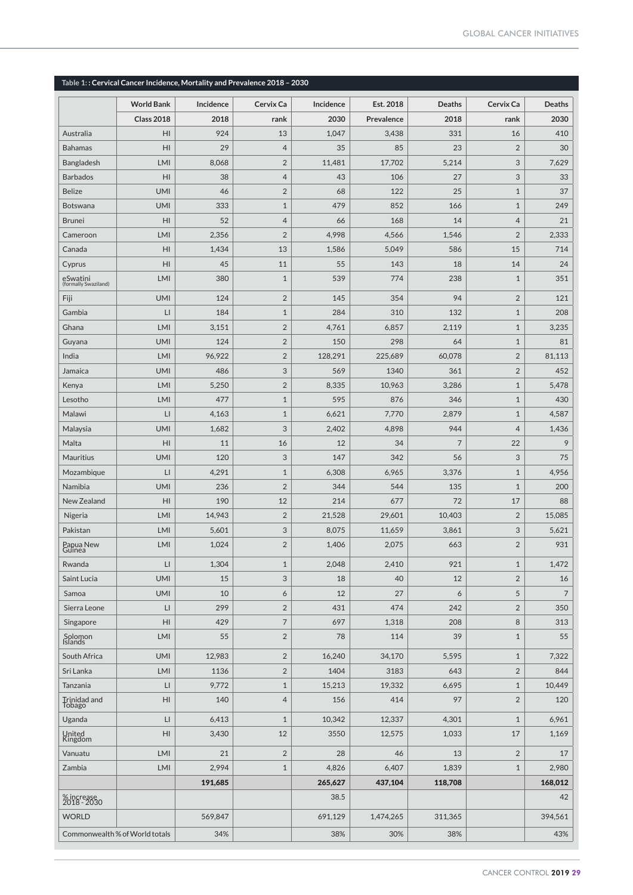|                                                                   | Table 1:: Cervical Cancer Incidence, Mortality and Prevalence 2018 - 2030 |           |                  |           |            |               |                |                |
|-------------------------------------------------------------------|---------------------------------------------------------------------------|-----------|------------------|-----------|------------|---------------|----------------|----------------|
|                                                                   | <b>World Bank</b>                                                         | Incidence | Cervix Ca        | Incidence | Est. 2018  | <b>Deaths</b> | Cervix Ca      | <b>Deaths</b>  |
|                                                                   | <b>Class 2018</b>                                                         | 2018      | rank             | 2030      | Prevalence | 2018          | rank           | 2030           |
| Australia                                                         | H <sub>l</sub>                                                            | 924       | 13               | 1,047     | 3,438      | 331           | 16             | 410            |
| <b>Bahamas</b>                                                    | H <sub>l</sub>                                                            | 29        | $\overline{4}$   | 35        | 85         | 23            | $\overline{2}$ | 30             |
| Bangladesh                                                        | LMI                                                                       | 8,068     | $\overline{2}$   | 11,481    | 17,702     | 5,214         | $\sqrt{3}$     | 7,629          |
| <b>Barbados</b>                                                   | H <sub>l</sub>                                                            | 38        | $\overline{4}$   | 43        | 106        | 27            | $\sqrt{3}$     | 33             |
| <b>Belize</b>                                                     | <b>UMI</b>                                                                | 46        | $\overline{2}$   | 68        | 122        | 25            | $1\,$          | 37             |
| Botswana                                                          | <b>UMI</b>                                                                | 333       | $1\,$            | 479       | 852        | 166           | $1\,$          | 249            |
| <b>Brunei</b>                                                     | H <sub>l</sub>                                                            | 52        | $\overline{4}$   | 66        | 168        | 14            | $\overline{4}$ | 21             |
| Cameroon                                                          | <b>LMI</b>                                                                | 2,356     | $\overline{2}$   | 4,998     | 4,566      | 1,546         | $\overline{2}$ | 2,333          |
| Canada                                                            | H <sub>l</sub>                                                            | 1,434     | 13               | 1,586     | 5,049      | 586           | 15             | 714            |
| Cyprus                                                            | HI                                                                        | 45        | 11               | 55        | 143        | 18            | 14             | 24             |
| eSwatini<br>(formally Swaziland)                                  | LMI                                                                       | 380       | $\mathbf{1}$     | 539       | 774        | 238           | $1\,$          | 351            |
| Fiji                                                              | <b>UMI</b>                                                                | 124       | $\sqrt{2}$       | 145       | 354        | 94            | $\overline{2}$ | 121            |
| Gambia                                                            | LI                                                                        | 184       | $\,1\,$          | 284       | 310        | 132           | $1\,$          | 208            |
| Ghana                                                             | LMI                                                                       | 3,151     | $\sqrt{2}$       | 4,761     | 6,857      | 2,119         | $1\,$          | 3,235          |
| Guyana                                                            | <b>UMI</b>                                                                | 124       | $\sqrt{2}$       | 150       | 298        | 64            | $1\,$          | 81             |
| India                                                             | LMI                                                                       | 96,922    | $\overline{2}$   | 128,291   | 225,689    | 60,078        | $\overline{2}$ | 81,113         |
| Jamaica                                                           | <b>UMI</b>                                                                | 486       | $\sqrt{3}$       | 569       | 1340       | 361           | $\overline{2}$ | 452            |
| Kenya                                                             | <b>LMI</b>                                                                | 5,250     | $\sqrt{2}$       | 8,335     | 10,963     | 3,286         | $1\,$          | 5,478          |
| Lesotho                                                           | <b>LMI</b>                                                                | 477       | $\,1\,$          | 595       | 876        | 346           | $1\,$          | 430            |
| Malawi                                                            | $\lfloor$                                                                 | 4,163     | $\mathbf{1}$     | 6,621     | 7,770      | 2,879         | $1\,$          | 4,587          |
| Malaysia                                                          | <b>UMI</b>                                                                | 1,682     | $\sqrt{3}$       | 2,402     | 4,898      | 944           | $\overline{4}$ | 1,436          |
| Malta                                                             | HI                                                                        | 11        | 16               | 12        | 34         | 7             | 22             | 9              |
| Mauritius                                                         | <b>UMI</b>                                                                | 120       | $\sqrt{3}$       | 147       | 342        | 56            | $\sqrt{3}$     | 75             |
| Mozambique                                                        | $\lfloor$                                                                 | 4,291     | $\,1\,$          | 6,308     | 6,965      | 3,376         | $1\,$          | 4,956          |
| Namibia                                                           | <b>UMI</b>                                                                | 236       | $\sqrt{2}$       | 344       | 544        | 135           | $1\,$          | 200            |
| New Zealand                                                       | H <sub>l</sub>                                                            | 190       | 12               | 214       | 677        | 72            | 17             | 88             |
| Nigeria                                                           | LMI                                                                       | 14,943    | $\overline{2}$   | 21,528    | 29,601     | 10,403        | $\overline{2}$ | 15,085         |
| Pakistan                                                          | <b>LMI</b>                                                                | 5,601     | $\sqrt{3}$       | 8,075     | 11,659     | 3,861         | $\sqrt{3}$     | 5,621          |
| Papua New<br>Guinea                                               | <b>LMI</b>                                                                | 1,024     | $\overline{2}$   | 1,406     | 2,075      | 663           | $\sqrt{2}$     | 931            |
| Rwanda                                                            | LI                                                                        | 1,304     | $\mathbf{1}$     | 2,048     | 2,410      | 921           | $\mathbf{1}$   | 1,472          |
| Saint Lucia                                                       | <b>UMI</b>                                                                | 15        | $\sqrt{3}$       | 18        | 40         | 12            | $\overline{2}$ | 16             |
| Samoa                                                             | <b>UMI</b>                                                                | 10        | $\boldsymbol{6}$ | 12        | 27         | 6             | 5              | $\overline{7}$ |
| Sierra Leone                                                      | LI                                                                        | 299       | $\sqrt{2}$       | 431       | 474        | 242           | $\sqrt{2}$     | 350            |
| Singapore                                                         | H <sub>l</sub>                                                            | 429       | $\overline{7}$   | 697       | 1,318      | 208           | $\,8\,$        | 313            |
| Solomon<br>Islands                                                | LMI                                                                       | 55        | $\sqrt{2}$       | 78        | 114        | 39            | $\mathbf{1}$   | 55             |
| South Africa                                                      | <b>UMI</b>                                                                | 12,983    | $\sqrt{2}$       | 16,240    | 34,170     | 5,595         | $\mathbf{1}$   | 7,322          |
| Sri Lanka                                                         | LMI                                                                       | 1136      | $\sqrt{2}$       | 1404      | 3183       | 643           | $\sqrt{2}$     | 844            |
| Tanzania                                                          | LI                                                                        | 9,772     | $\mathbf{1}$     | 15,213    | 19,332     | 6,695         | $\mathbf{1}$   | 10,449         |
| Trinidad and<br>Tobago                                            | HI                                                                        | 140       | $\overline{4}$   | 156       | 414        | 97            | $\overline{2}$ | 120            |
| Uganda                                                            | $\lfloor$                                                                 | 6,413     | $\mathbf{1}$     | 10,342    | 12,337     | 4,301         | $1\,$          | 6,961          |
| United<br>Kingdom                                                 | HI                                                                        | 3,430     | 12               | 3550      | 12,575     | 1,033         | 17             | 1,169          |
| Vanuatu                                                           | LMI                                                                       | 21        | $\sqrt{2}$       | 28        | 46         | 13            | $\sqrt{2}$     | 17             |
| Zambia                                                            | <b>LMI</b>                                                                | 2,994     | $1\,$            | 4,826     | 6,407      | 1,839         | $1\,$          | 2,980          |
|                                                                   |                                                                           | 191,685   |                  | 265,627   | 437,104    | 118,708       |                | 168,012        |
|                                                                   |                                                                           |           |                  | 38.5      |            |               |                | 42             |
| % increase<br>2018 - 2030                                         |                                                                           |           |                  |           |            |               |                |                |
| <b>WORLD</b>                                                      |                                                                           | 569,847   |                  | 691,129   | 1,474,265  | 311,365       |                | 394,561        |
| Commonwealth % of World totals<br>38%<br>30%<br>38%<br>43%<br>34% |                                                                           |           |                  |           |            |               |                |                |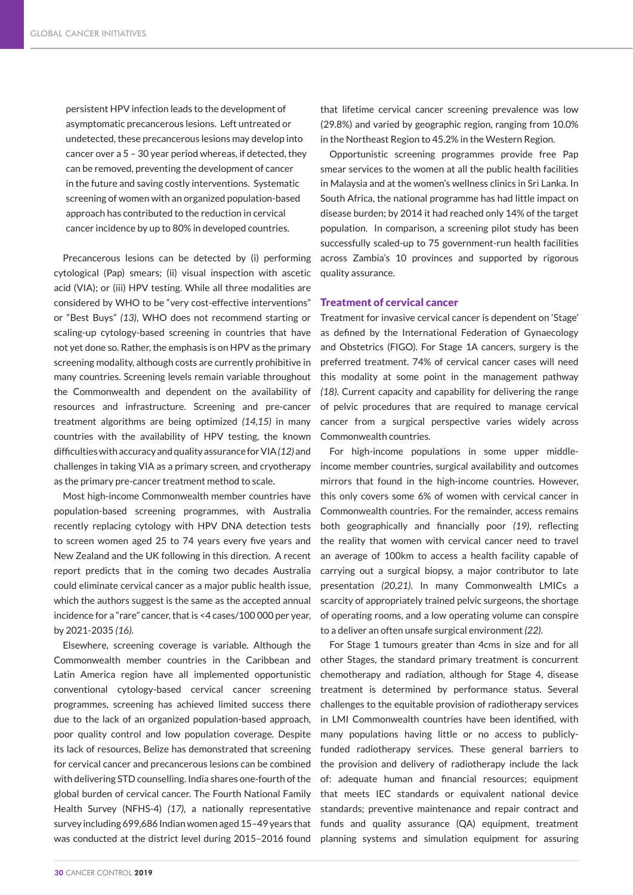persistent HPV infection leads to the development of asymptomatic precancerous lesions. Left untreated or undetected, these precancerous lesions may develop into cancer over a 5 – 30 year period whereas, if detected, they can be removed, preventing the development of cancer in the future and saving costly interventions. Systematic screening of women with an organized population-based approach has contributed to the reduction in cervical cancer incidence by up to 80% in developed countries.

Precancerous lesions can be detected by (i) performing cytological (Pap) smears; (ii) visual inspection with ascetic acid (VIA); or (iii) HPV testing. While all three modalities are considered by WHO to be "very cost-effective interventions" or "Best Buys" *(13)*, WHO does not recommend starting or scaling-up cytology-based screening in countries that have not yet done so. Rather, the emphasis is on HPV as the primary screening modality, although costs are currently prohibitive in many countries. Screening levels remain variable throughout the Commonwealth and dependent on the availability of resources and infrastructure. Screening and pre-cancer treatment algorithms are being optimized *(14,15)* in many countries with the availability of HPV testing, the known difficulties with accuracy and quality assurance for VIA *(12)* and challenges in taking VIA as a primary screen, and cryotherapy as the primary pre-cancer treatment method to scale.

Most high-income Commonwealth member countries have population-based screening programmes, with Australia recently replacing cytology with HPV DNA detection tests to screen women aged 25 to 74 years every five years and New Zealand and the UK following in this direction. A recent report predicts that in the coming two decades Australia could eliminate cervical cancer as a major public health issue, which the authors suggest is the same as the accepted annual incidence for a "rare" cancer, that is <4 cases/100 000 per year, by 2021-2035 *(16).*

Elsewhere, screening coverage is variable. Although the Commonwealth member countries in the Caribbean and Latin America region have all implemented opportunistic conventional cytology-based cervical cancer screening programmes, screening has achieved limited success there due to the lack of an organized population-based approach, poor quality control and low population coverage. Despite its lack of resources, Belize has demonstrated that screening for cervical cancer and precancerous lesions can be combined with delivering STD counselling. India shares one-fourth of the global burden of cervical cancer. The Fourth National Family Health Survey (NFHS-4) *(17),* a nationally representative survey including 699,686 Indian women aged 15–49 years that was conducted at the district level during 2015–2016 found

that lifetime cervical cancer screening prevalence was low (29.8%) and varied by geographic region, ranging from 10.0% in the Northeast Region to 45.2% in the Western Region.

Opportunistic screening programmes provide free Pap smear services to the women at all the public health facilities in Malaysia and at the women's wellness clinics in Sri Lanka. In South Africa, the national programme has had little impact on disease burden; by 2014 it had reached only 14% of the target population. In comparison, a screening pilot study has been successfully scaled-up to 75 government-run health facilities across Zambia's 10 provinces and supported by rigorous quality assurance.

#### Treatment of cervical cancer

Treatment for invasive cervical cancer is dependent on 'Stage' as defined by the International Federation of Gynaecology and Obstetrics (FIGO). For Stage 1A cancers, surgery is the preferred treatment. 74% of cervical cancer cases will need this modality at some point in the management pathway *(18)*. Current capacity and capability for delivering the range of pelvic procedures that are required to manage cervical cancer from a surgical perspective varies widely across Commonwealth countries.

For high-income populations in some upper middleincome member countries, surgical availability and outcomes mirrors that found in the high-income countries. However, this only covers some 6% of women with cervical cancer in Commonwealth countries. For the remainder, access remains both geographically and financially poor *(19)*, reflecting the reality that women with cervical cancer need to travel an average of 100km to access a health facility capable of carrying out a surgical biopsy, a major contributor to late presentation *(20,21)*. In many Commonwealth LMICs a scarcity of appropriately trained pelvic surgeons, the shortage of operating rooms, and a low operating volume can conspire to a deliver an often unsafe surgical environment *(22)*.

For Stage 1 tumours greater than 4cms in size and for all other Stages, the standard primary treatment is concurrent chemotherapy and radiation, although for Stage 4, disease treatment is determined by performance status. Several challenges to the equitable provision of radiotherapy services in LMI Commonwealth countries have been identified, with many populations having little or no access to publiclyfunded radiotherapy services. These general barriers to the provision and delivery of radiotherapy include the lack of: adequate human and financial resources; equipment that meets IEC standards or equivalent national device standards; preventive maintenance and repair contract and funds and quality assurance (QA) equipment, treatment planning systems and simulation equipment for assuring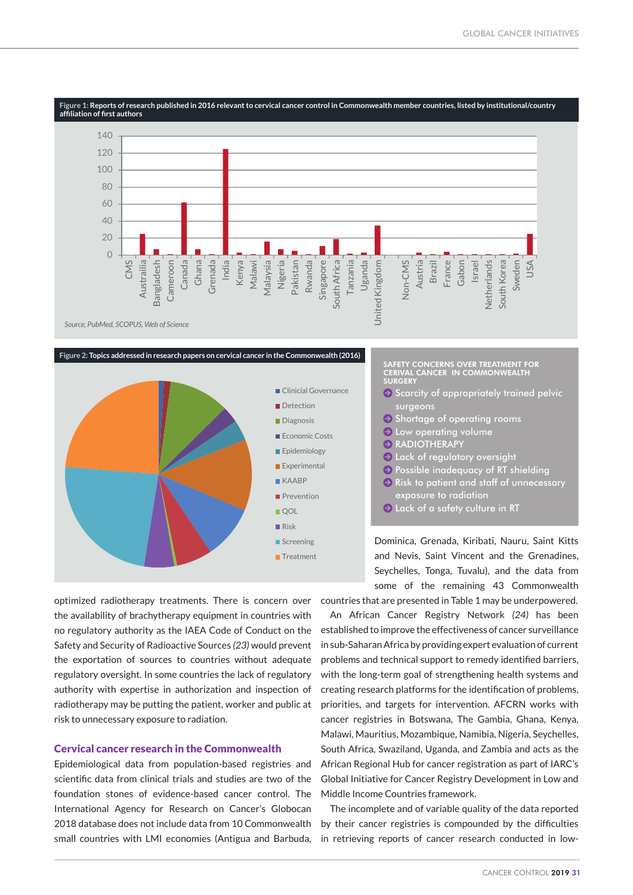

**Figure 2: Topics addressed in research papers on cervical cancer in the Commonwealth (2016)**



SAFETY CONCERNS OVER TREATMENT FOR CERIVAL CANCER IN COMMONWEALTH

- $\Theta$  Scarcity of appropriately trained pelvic surgeons
- Shortage of operating rooms
- $\Theta$  Low operating volume
- $\Theta$  RADIOTHERAPY
- S Lack of regulatory oversight
- $\Theta$  Possible inadequacy of RT shielding
- $\Theta$  Risk to patient and staff of unnecessary exposure to radiation
- $\Theta$  Lack of a safety culture in RT

Dominica, Grenada, Kiribati, Nauru, Saint Kitts and Nevis, Saint Vincent and the Grenadines, Seychelles, Tonga, Tuvalu), and the data from some of the remaining 43 Commonwealth

the availability of brachytherapy equipment in countries with no regulatory authority as the IAEA Code of Conduct on the Safety and Security of Radioactive Sources *(23)* would prevent the exportation of sources to countries without adequate regulatory oversight. In some countries the lack of regulatory authority with expertise in authorization and inspection of radiotherapy may be putting the patient, worker and public at risk to unnecessary exposure to radiation.

## Cervical cancer research in the Commonwealth

Epidemiological data from population-based registries and scientific data from clinical trials and studies are two of the foundation stones of evidence-based cancer control. The International Agency for Research on Cancer's Globocan 2018 database does not include data from 10 Commonwealth small countries with LMI economies (Antigua and Barbuda,

optimized radiotherapy treatments. There is concern over countries that are presented in Table 1 may be underpowered.

An African Cancer Registry Network (24) has been established to improve the effectiveness of cancer surveillance in sub-Saharan Africa by providing expert evaluation of current problems and technical support to remedy identified barriers, .<br>with the long-term goal of strengthening health systems and creating research platforms for the identification of problems, priorities, and targets for intervention. AFCRN works with cancer registries in Botswana, The Gambia, Ghana, Kenya, Malawi, Mauritius, Mozambique, Namibia, Nigeria, Seychelles, South Africa, Swaziland, Uganda, and Zambia and acts as the African Regional Hub for cancer registration as part of IARC's Global Initiative for Cancer Registry Development in Low and Middle Income Countries framework.

The incomplete and of variable quality of the data reported by their cancer registries is compounded by the difficulties in retrieving reports of cancer research conducted in low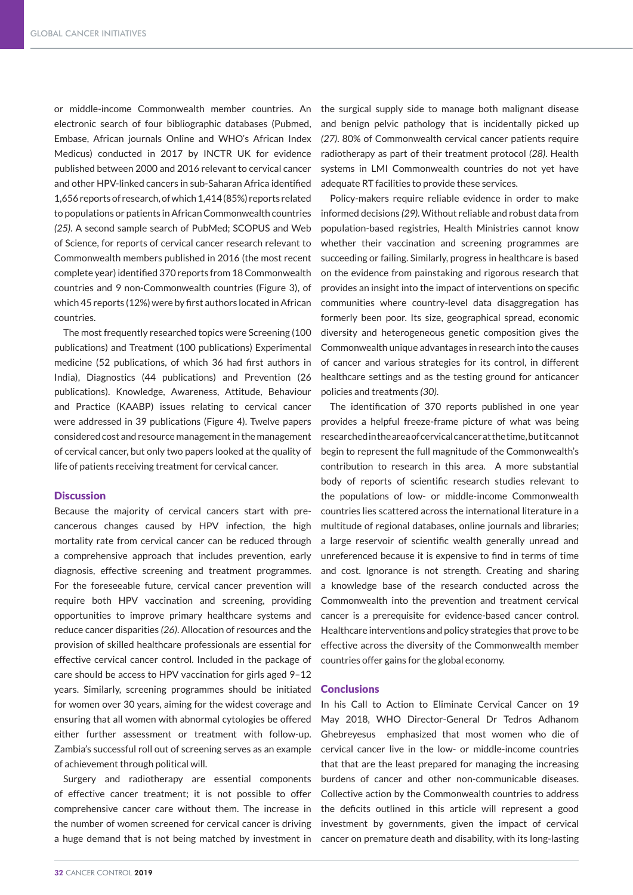or middle-income Commonwealth member countries. An electronic search of four bibliographic databases (Pubmed, Embase, African journals Online and WHO's African Index Medicus) conducted in 2017 by INCTR UK for evidence published between 2000 and 2016 relevant to cervical cancer and other HPV-linked cancers in sub-Saharan Africa identified 1,656 reports of research, of which 1,414 (85%) reports related to populations or patients in African Commonwealth countries *(25)*. A second sample search of PubMed; SCOPUS and Web of Science, for reports of cervical cancer research relevant to Commonwealth members published in 2016 (the most recent complete year) identified 370 reports from 18 Commonwealth countries and 9 non-Commonwealth countries (Figure 3), of which 45 reports (12%) were by first authors located in African countries.

The most frequently researched topics were Screening (100 publications) and Treatment (100 publications) Experimental medicine (52 publications, of which 36 had first authors in India), Diagnostics (44 publications) and Prevention (26 publications). Knowledge, Awareness, Attitude, Behaviour and Practice (KAABP) issues relating to cervical cancer were addressed in 39 publications (Figure 4). Twelve papers considered cost and resource management in the management of cervical cancer, but only two papers looked at the quality of life of patients receiving treatment for cervical cancer.

## **Discussion**

Because the majority of cervical cancers start with precancerous changes caused by HPV infection, the high mortality rate from cervical cancer can be reduced through a comprehensive approach that includes prevention, early diagnosis, effective screening and treatment programmes. For the foreseeable future, cervical cancer prevention will require both HPV vaccination and screening, providing opportunities to improve primary healthcare systems and reduce cancer disparities *(26)*. Allocation of resources and the provision of skilled healthcare professionals are essential for effective cervical cancer control. Included in the package of care should be access to HPV vaccination for girls aged 9–12 years. Similarly, screening programmes should be initiated for women over 30 years, aiming for the widest coverage and ensuring that all women with abnormal cytologies be offered either further assessment or treatment with follow-up. Zambia's successful roll out of screening serves as an example of achievement through political will.

Surgery and radiotherapy are essential components of effective cancer treatment; it is not possible to offer comprehensive cancer care without them. The increase in the number of women screened for cervical cancer is driving a huge demand that is not being matched by investment in

the surgical supply side to manage both malignant disease and benign pelvic pathology that is incidentally picked up *(27)*. 80% of Commonwealth cervical cancer patients require radiotherapy as part of their treatment protocol *(28)*. Health systems in LMI Commonwealth countries do not yet have adequate RT facilities to provide these services.

Policy-makers require reliable evidence in order to make informed decisions *(29).* Without reliable and robust data from population-based registries, Health Ministries cannot know whether their vaccination and screening programmes are succeeding or failing. Similarly, progress in healthcare is based on the evidence from painstaking and rigorous research that provides an insight into the impact of interventions on specific communities where country-level data disaggregation has formerly been poor. Its size, geographical spread, economic diversity and heterogeneous genetic composition gives the Commonwealth unique advantages in research into the causes of cancer and various strategies for its control, in different healthcare settings and as the testing ground for anticancer policies and treatments *(30)*.

The identification of 370 reports published in one year provides a helpful freeze-frame picture of what was being researched in the area of cervical cancer at the time, but it cannot begin to represent the full magnitude of the Commonwealth's contribution to research in this area. A more substantial body of reports of scientific research studies relevant to the populations of low- or middle-income Commonwealth countries lies scattered across the international literature in a multitude of regional databases, online journals and libraries; a large reservoir of scientific wealth generally unread and unreferenced because it is expensive to find in terms of time and cost. Ignorance is not strength. Creating and sharing a knowledge base of the research conducted across the Commonwealth into the prevention and treatment cervical cancer is a prerequisite for evidence-based cancer control. Healthcare interventions and policy strategies that prove to be effective across the diversity of the Commonwealth member countries offer gains for the global economy.

#### **Conclusions**

In his Call to Action to Eliminate Cervical Cancer on 19 May 2018, WHO Director-General Dr Tedros Adhanom Ghebreyesus emphasized that most women who die of cervical cancer live in the low- or middle-income countries that that are the least prepared for managing the increasing burdens of cancer and other non-communicable diseases. Collective action by the Commonwealth countries to address the deficits outlined in this article will represent a good investment by governments, given the impact of cervical cancer on premature death and disability, with its long-lasting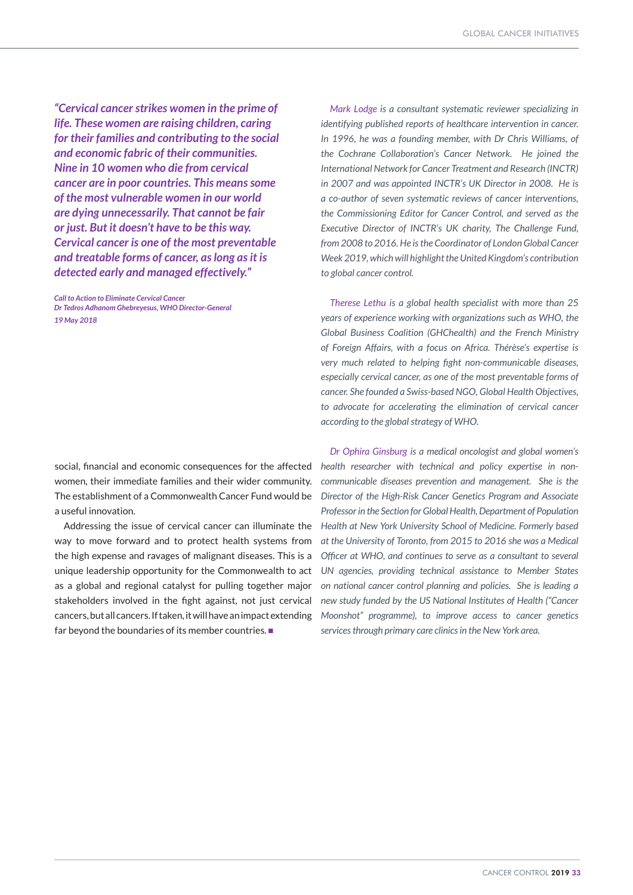*"Cervical cancer strikes women in the prime of life. These women are raising children, caring for their families and contributing to the social and economic fabric of their communities. Nine in 10 women who die from cervical cancer are in poor countries. This means some of the most vulnerable women in our world are dying unnecessarily. That cannot be fair or just. But it doesn't have to be this way. Cervical cancer is one of the most preventable and treatable forms of cancer, as long as it is detected early and managed effectively."* 

*Call to Action to Eliminate Cervical Cancer Dr Tedros Adhanom Ghebreyesus, WHO Director-General 19 May 2018*

social, financial and economic consequences for the affected women, their immediate families and their wider community. The establishment of a Commonwealth Cancer Fund would be a useful innovation.

Addressing the issue of cervical cancer can illuminate the way to move forward and to protect health systems from the high expense and ravages of malignant diseases. This is a unique leadership opportunity for the Commonwealth to act as a global and regional catalyst for pulling together major stakeholders involved in the fight against, not just cervical cancers, but all cancers. If taken, it will have an impact extending far beyond the boundaries of its member countries.  $\blacksquare$ 

*Mark Lodge is a consultant systematic reviewer specializing in identifying published reports of healthcare intervention in cancer. In 1996, he was a founding member, with Dr Chris Williams, of the Cochrane Collaboration's Cancer Network. He joined the International Network for Cancer Treatment and Research (INCTR) in 2007 and was appointed INCTR's UK Director in 2008. He is a co-author of seven systematic reviews of cancer interventions, the Commissioning Editor for Cancer Control, and served as the Executive Director of INCTR's UK charity, The Challenge Fund, from 2008 to 2016. He is the Coordinator of London Global Cancer Week 2019, which will highlight the United Kingdom's contribution to global cancer control.* 

*Therese Lethu is a global health specialist with more than 25 years of experience working with organizations such as WHO, the Global Business Coalition (GHChealth) and the French Ministry of Foreign Affairs, with a focus on Africa. Thérèse's expertise is very much related to helping fight non-communicable diseases, especially cervical cancer, as one of the most preventable forms of cancer. She founded a Swiss-based NGO, Global Health Objectives, to advocate for accelerating the elimination of cervical cancer according to the global strategy of WHO.* 

*Dr Ophira Ginsburg is a medical oncologist and global women's health researcher with technical and policy expertise in noncommunicable diseases prevention and management. She is the Director of the High-Risk Cancer Genetics Program and Associate Professor in the Section for Global Health, Department of Population Health at New York University School of Medicine. Formerly based at the University of Toronto, from 2015 to 2016 she was a Medical Officer at WHO, and continues to serve as a consultant to several UN agencies, providing technical assistance to Member States on national cancer control planning and policies. She is leading a new study funded by the US National Institutes of Health ("Cancer Moonshot" programme), to improve access to cancer genetics services through primary care clinics in the New York area.*